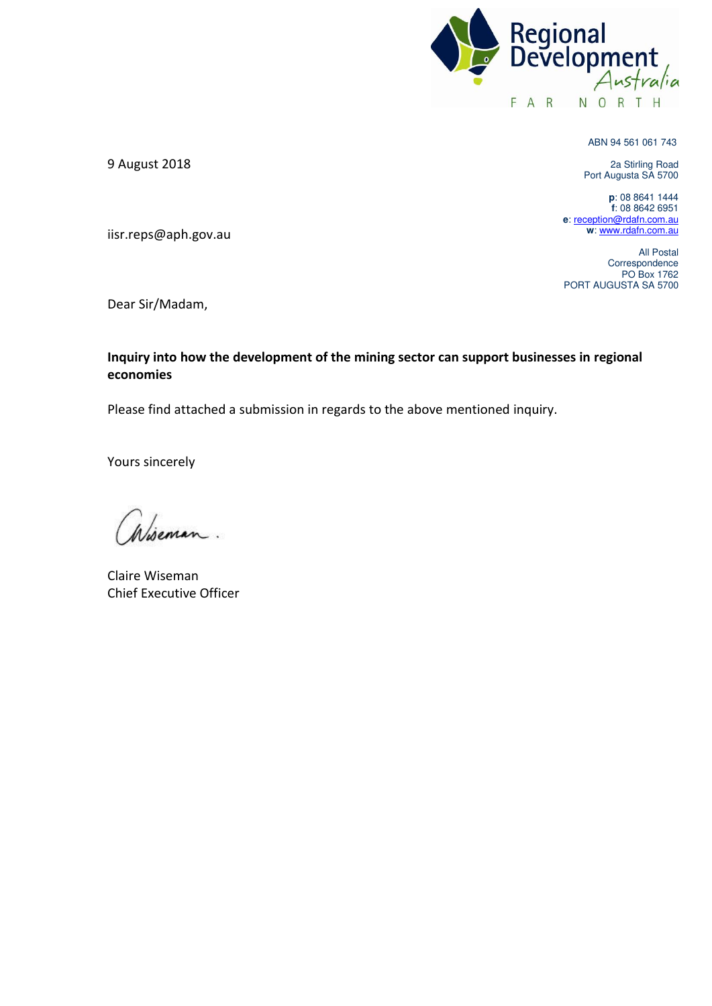

ABN 94 561 061 743

2a Stirling Road Port Augusta SA 5700

**p**: 08 8641 1444 **f**: 08 8642 6951 **e**[: reception@rdafn.com.au](mailto:reception@rdafn.com.au) **w**[: www.rdafn.com.au](http://www.rdafn.com.au/) 

All Postal Correspondence PO Box 1762 PORT AUGUSTA SA 5700

9 August 2018

iisr.reps@aph.gov.au

Dear Sir/Madam,

### **Inquiry into how the development of the mining sector can support businesses in regional economies**

Please find attached a submission in regards to the above mentioned inquiry.

Yours sincerely

Wiseman.

Claire Wiseman Chief Executive Officer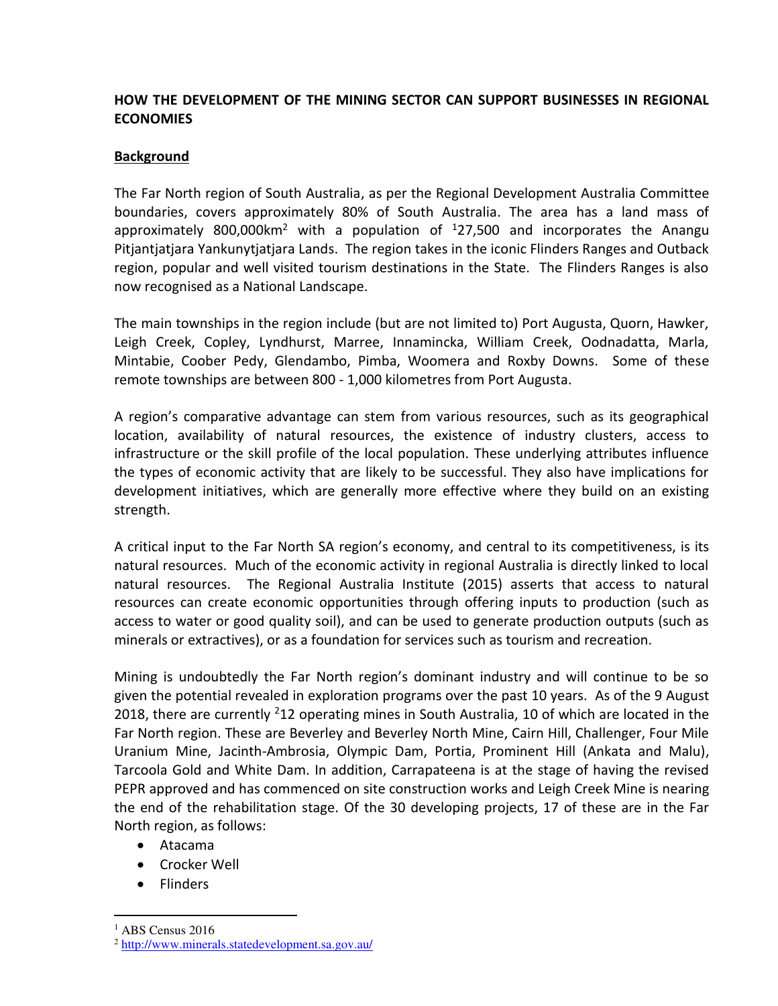# **HOW THE DEVELOPMENT OF THE MINING SECTOR CAN SUPPORT BUSINESSES IN REGIONAL ECONOMIES**

### **Background**

The Far North region of South Australia, as per the Regional Development Australia Committee boundaries, covers approximately 80% of South Australia. The area has a land mass of approximately 800,000 km<sup>2</sup> with a population of  $127,500$  and incorporates the Anangu Pitjantjatjara Yankunytjatjara Lands. The region takes in the iconic Flinders Ranges and Outback region, popular and well visited tourism destinations in the State. The Flinders Ranges is also now recognised as a National Landscape.

The main townships in the region include (but are not limited to) Port Augusta, Quorn, Hawker, Leigh Creek, Copley, Lyndhurst, Marree, Innamincka, William Creek, Oodnadatta, Marla, Mintabie, Coober Pedy, Glendambo, Pimba, Woomera and Roxby Downs. Some of these remote townships are between 800 - 1,000 kilometres from Port Augusta.

A region's comparative advantage can stem from various resources, such as its geographical location, availability of natural resources, the existence of industry clusters, access to infrastructure or the skill profile of the local population. These underlying attributes influence the types of economic activity that are likely to be successful. They also have implications for development initiatives, which are generally more effective where they build on an existing strength.

A critical input to the Far North SA region's economy, and central to its competitiveness, is its natural resources. Much of the economic activity in regional Australia is directly linked to local natural resources. The Regional Australia Institute (2015) asserts that access to natural resources can create economic opportunities through offering inputs to production (such as access to water or good quality soil), and can be used to generate production outputs (such as minerals or extractives), or as a foundation for services such as tourism and recreation.

Mining is undoubtedly the Far North region's dominant industry and will continue to be so given the potential revealed in exploration programs over the past 10 years. As of the 9 August 2018, there are currently  $212$  operating mines in South Australia, 10 of which are located in the Far North region. These are Beverley and Beverley North Mine, Cairn Hill, Challenger, Four Mile Uranium Mine, Jacinth-Ambrosia, Olympic Dam, Portia, Prominent Hill (Ankata and Malu), Tarcoola Gold and White Dam. In addition, Carrapateena is at the stage of having the revised PEPR approved and has commenced on site construction works and Leigh Creek Mine is nearing the end of the rehabilitation stage. Of the 30 developing projects, 17 of these are in the Far North region, as follows:

- Atacama
- Crocker Well
- Flinders

 $\overline{a}$ 

<sup>&</sup>lt;sup>1</sup> ABS Census 2016

<sup>2</sup> <http://www.minerals.statedevelopment.sa.gov.au/>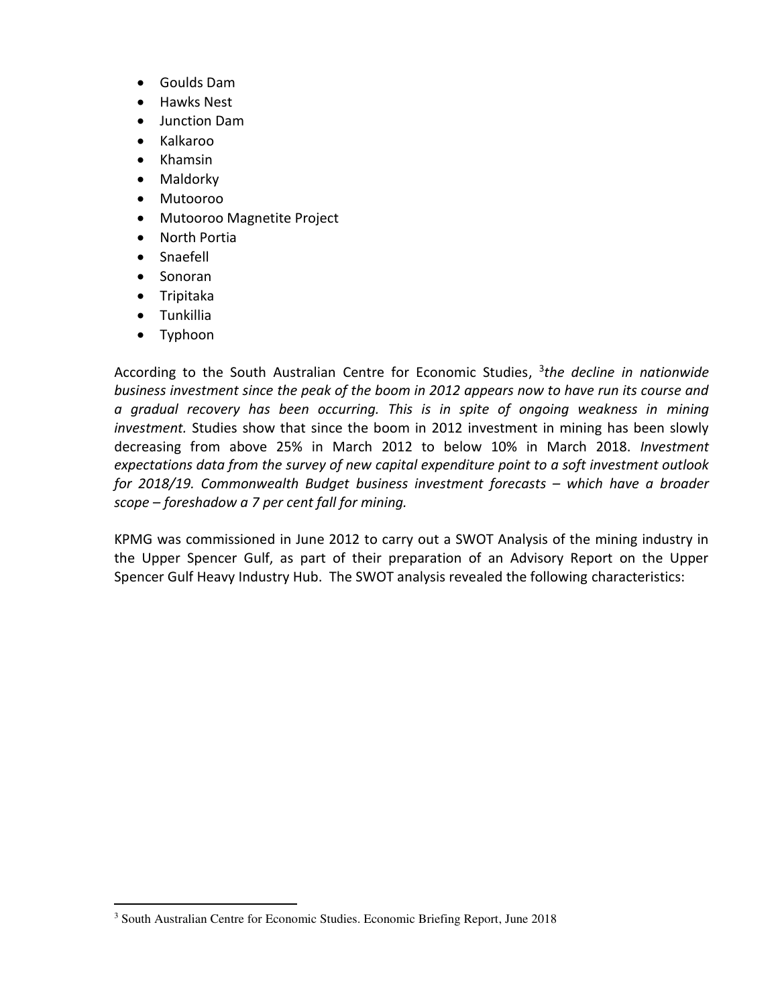- Goulds Dam
- Hawks Nest
- Junction Dam
- Kalkaroo
- Khamsin
- Maldorky
- Mutooroo
- Mutooroo Magnetite Project
- North Portia
- Snaefell
- Sonoran
- Tripitaka
- Tunkillia
- Typhoon

According to the South Australian Centre for Economic Studies, <sup>3</sup>the decline in nationwide *business investment since the peak of the boom in 2012 appears now to have run its course and a gradual recovery has been occurring. This is in spite of ongoing weakness in mining investment.* Studies show that since the boom in 2012 investment in mining has been slowly decreasing from above 25% in March 2012 to below 10% in March 2018. *Investment expectations data from the survey of new capital expenditure point to a soft investment outlook for 2018/19. Commonwealth Budget business investment forecasts – which have a broader scope – foreshadow a 7 per cent fall for mining.* 

KPMG was commissioned in June 2012 to carry out a SWOT Analysis of the mining industry in the Upper Spencer Gulf, as part of their preparation of an Advisory Report on the Upper Spencer Gulf Heavy Industry Hub. The SWOT analysis revealed the following characteristics:

 3 South Australian Centre for Economic Studies. Economic Briefing Report, June 2018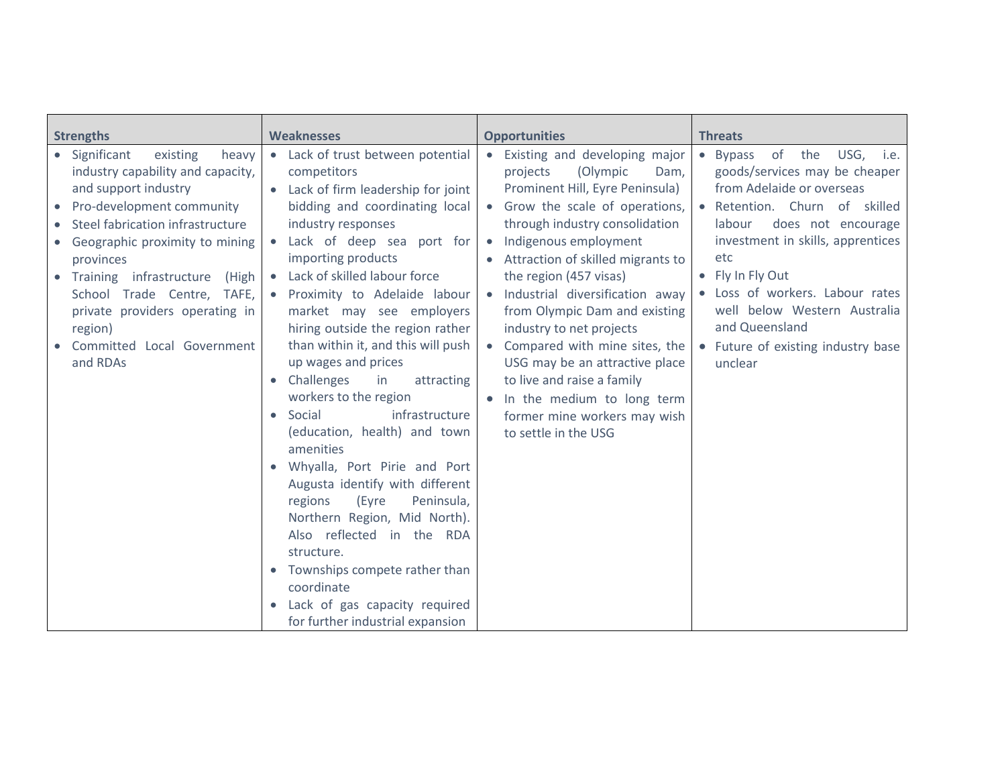| <b>Strengths</b><br><b>Weaknesses</b>                                                                                                                                                                                                                                                                                                                               |                                                                                                                                                                                                                                                                                                                                                                                                                                                                                                                                                                                                                                                                                                                                                                                                                                                                                                                                | <b>Opportunities</b>                                                                                                                                                                                                                                                                                                                                                                                                                                                                                                                                                                   | <b>Threats</b>                                                                                                                                                                                                                                                                                                                                                                   |  |
|---------------------------------------------------------------------------------------------------------------------------------------------------------------------------------------------------------------------------------------------------------------------------------------------------------------------------------------------------------------------|--------------------------------------------------------------------------------------------------------------------------------------------------------------------------------------------------------------------------------------------------------------------------------------------------------------------------------------------------------------------------------------------------------------------------------------------------------------------------------------------------------------------------------------------------------------------------------------------------------------------------------------------------------------------------------------------------------------------------------------------------------------------------------------------------------------------------------------------------------------------------------------------------------------------------------|----------------------------------------------------------------------------------------------------------------------------------------------------------------------------------------------------------------------------------------------------------------------------------------------------------------------------------------------------------------------------------------------------------------------------------------------------------------------------------------------------------------------------------------------------------------------------------------|----------------------------------------------------------------------------------------------------------------------------------------------------------------------------------------------------------------------------------------------------------------------------------------------------------------------------------------------------------------------------------|--|
| Significant<br>existing<br>heavy<br>industry capability and capacity,<br>and support industry<br>Pro-development community<br>Steel fabrication infrastructure<br>Geographic proximity to mining<br>provinces<br>Training infrastructure (High<br>School Trade Centre, TAFE,<br>private providers operating in<br>region)<br>Committed Local Government<br>and RDAs | Lack of trust between potential<br>$\bullet$<br>competitors<br>Lack of firm leadership for joint<br>bidding and coordinating local<br>industry responses<br>Lack of deep sea port for<br>$\bullet$<br>importing products<br>Lack of skilled labour force<br>$\bullet$<br>Proximity to Adelaide labour<br>$\bullet$<br>market may see employers<br>hiring outside the region rather<br>than within it, and this will push<br>up wages and prices<br>Challenges<br>in<br>attracting<br>$\bullet$<br>workers to the region<br>Social<br>infrastructure<br>$\bullet$<br>(education, health) and town<br>amenities<br>Whyalla, Port Pirie and Port<br>Augusta identify with different<br>regions<br>(Eyre<br>Peninsula,<br>Northern Region, Mid North).<br>Also reflected in the RDA<br>structure.<br>Townships compete rather than<br>$\bullet$<br>coordinate<br>Lack of gas capacity required<br>for further industrial expansion | • Existing and developing major<br>projects<br>(Olympic<br>Dam,<br>Prominent Hill, Eyre Peninsula)<br>• Grow the scale of operations,<br>through industry consolidation<br>Indigenous employment<br>$\bullet$<br>• Attraction of skilled migrants to<br>the region (457 visas)<br>Industrial diversification away<br>$\bullet$<br>from Olympic Dam and existing<br>industry to net projects<br>• Compared with mine sites, the<br>USG may be an attractive place<br>to live and raise a family<br>• In the medium to long term<br>former mine workers may wish<br>to settle in the USG | of<br>USG, i.e.<br>the<br>• Bypass<br>goods/services may be cheaper<br>from Adelaide or overseas<br>• Retention. Churn of skilled<br>does not encourage<br>labour<br>investment in skills, apprentices<br>etc<br>• Fly In Fly Out<br>Loss of workers. Labour rates<br>well below Western Australia<br>and Queensland<br>Future of existing industry base<br>$\bullet$<br>unclear |  |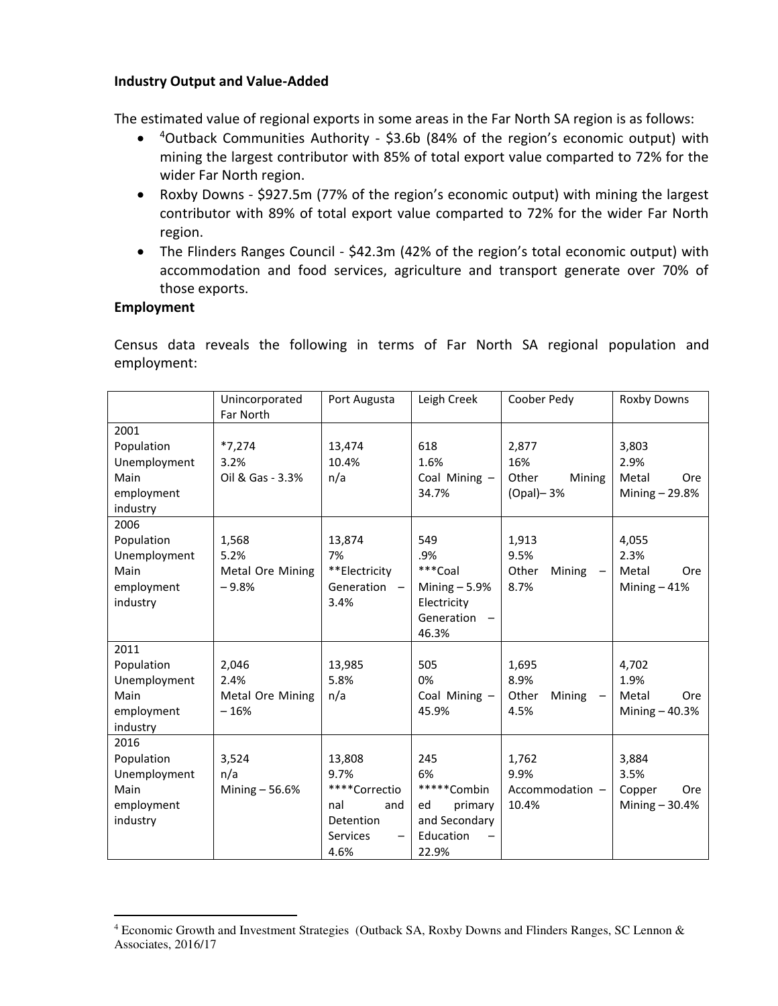### **Industry Output and Value-Added**

The estimated value of regional exports in some areas in the Far North SA region is as follows:

- <sup>4</sup>Outback Communities Authority \$3.6b (84% of the region's economic output) with mining the largest contributor with 85% of total export value comparted to 72% for the wider Far North region.
- Roxby Downs \$927.5m (77% of the region's economic output) with mining the largest contributor with 89% of total export value comparted to 72% for the wider Far North region.
- The Flinders Ranges Council \$42.3m (42% of the region's total economic output) with accommodation and food services, agriculture and transport generate over 70% of those exports.

#### **Employment**

 $\overline{a}$ 

Census data reveals the following in terms of Far North SA regional population and employment:

|                                                                      | Unincorporated<br>Far North                  | Port Augusta                                                                                        | Leigh Creek                                                                      | Coober Pedy                                     | Roxby Downs                                             |
|----------------------------------------------------------------------|----------------------------------------------|-----------------------------------------------------------------------------------------------------|----------------------------------------------------------------------------------|-------------------------------------------------|---------------------------------------------------------|
| 2001<br>Population<br>Unemployment<br>Main<br>employment<br>industry | $*7,274$<br>3.2%<br>Oil & Gas - 3.3%         | 13,474<br>10.4%<br>n/a                                                                              | 618<br>1.6%<br>Coal Mining -<br>34.7%                                            | 2,877<br>16%<br>Other<br>Mining<br>$(Opal)$ -3% | 3,803<br>2.9%<br>Metal<br><b>Ore</b><br>Mining - 29.8%  |
| 2006<br>Population<br>Unemployment<br>Main<br>employment<br>industry | 1,568<br>5.2%<br>Metal Ore Mining<br>$-9.8%$ | 13,874<br>7%<br>**Electricity<br>Generation -<br>3.4%                                               | 549<br>.9%<br>***Coal<br>Mining $-5.9%$<br>Electricity<br>Generation<br>46.3%    | 1,913<br>9.5%<br>Other<br>Mining<br>8.7%        | 4,055<br>2.3%<br>Metal<br><b>Ore</b><br>Mining $-41%$   |
| 2011<br>Population<br>Unemployment<br>Main<br>employment<br>industry | 2,046<br>2.4%<br>Metal Ore Mining<br>$-16%$  | 13,985<br>5.8%<br>n/a                                                                               | 505<br>0%<br>Coal Mining -<br>45.9%                                              | 1,695<br>8.9%<br>Other<br>Mining<br>4.5%        | 4,702<br>1.9%<br>Metal<br><b>Ore</b><br>Mining $-40.3%$ |
| 2016<br>Population<br>Unemployment<br>Main<br>employment<br>industry | 3,524<br>n/a<br>Mining - 56.6%               | 13,808<br>9.7%<br>****Correctio<br>nal<br>and<br>Detention<br>Services<br>$\qquad \qquad -$<br>4.6% | 245<br>6%<br>*****Combin<br>primary<br>ed<br>and Secondary<br>Education<br>22.9% | 1,762<br>9.9%<br>Accommodation -<br>10.4%       | 3,884<br>3.5%<br>Copper<br>Ore<br>Mining $-30.4%$       |

<sup>4</sup> Economic Growth and Investment Strategies (Outback SA, Roxby Downs and Flinders Ranges, SC Lennon & Associates, 2016/17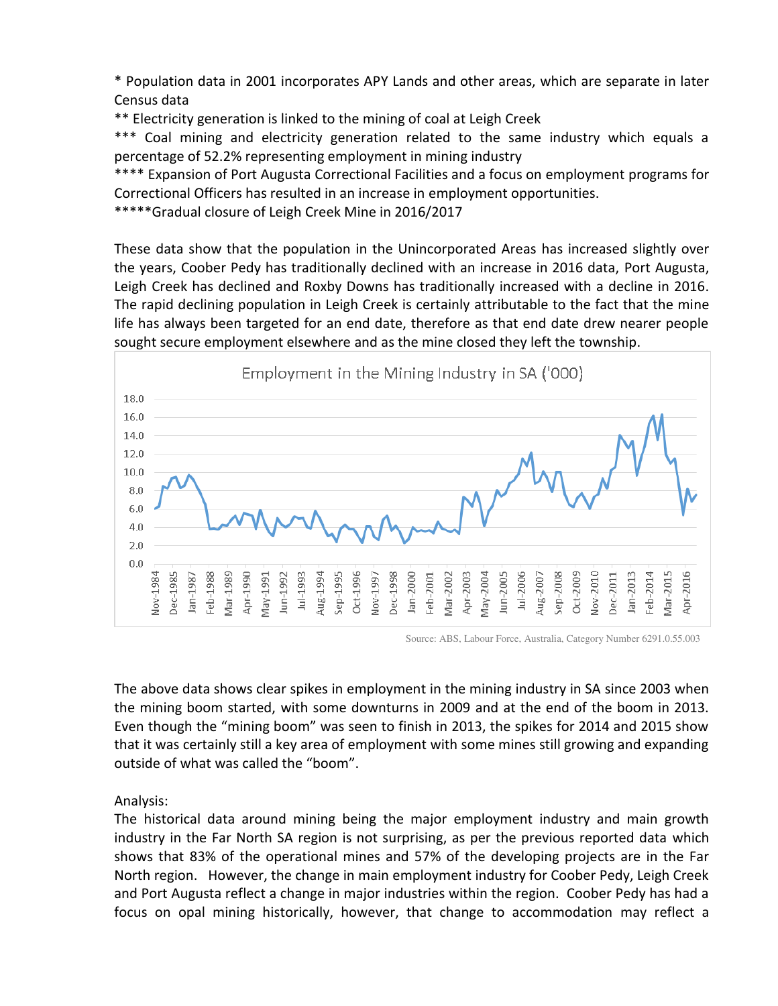\* Population data in 2001 incorporates APY Lands and other areas, which are separate in later Census data

\*\* Electricity generation is linked to the mining of coal at Leigh Creek

\*\*\* Coal mining and electricity generation related to the same industry which equals a percentage of 52.2% representing employment in mining industry

\*\*\*\* Expansion of Port Augusta Correctional Facilities and a focus on employment programs for Correctional Officers has resulted in an increase in employment opportunities.

\*\*\*\*\*Gradual closure of Leigh Creek Mine in 2016/2017

These data show that the population in the Unincorporated Areas has increased slightly over the years, Coober Pedy has traditionally declined with an increase in 2016 data, Port Augusta, Leigh Creek has declined and Roxby Downs has traditionally increased with a decline in 2016. The rapid declining population in Leigh Creek is certainly attributable to the fact that the mine life has always been targeted for an end date, therefore as that end date drew nearer people sought secure employment elsewhere and as the mine closed they left the township.



Source: ABS, Labour Force, Australia, Category Number 6291.0.55.003

The above data shows clear spikes in employment in the mining industry in SA since 2003 when the mining boom started, with some downturns in 2009 and at the end of the boom in 2013. Even though the "mining boom" was seen to finish in 2013, the spikes for 2014 and 2015 show that it was certainly still a key area of employment with some mines still growing and expanding outside of what was called the "boom".

Analysis:

The historical data around mining being the major employment industry and main growth industry in the Far North SA region is not surprising, as per the previous reported data which shows that 83% of the operational mines and 57% of the developing projects are in the Far North region. However, the change in main employment industry for Coober Pedy, Leigh Creek and Port Augusta reflect a change in major industries within the region. Coober Pedy has had a focus on opal mining historically, however, that change to accommodation may reflect a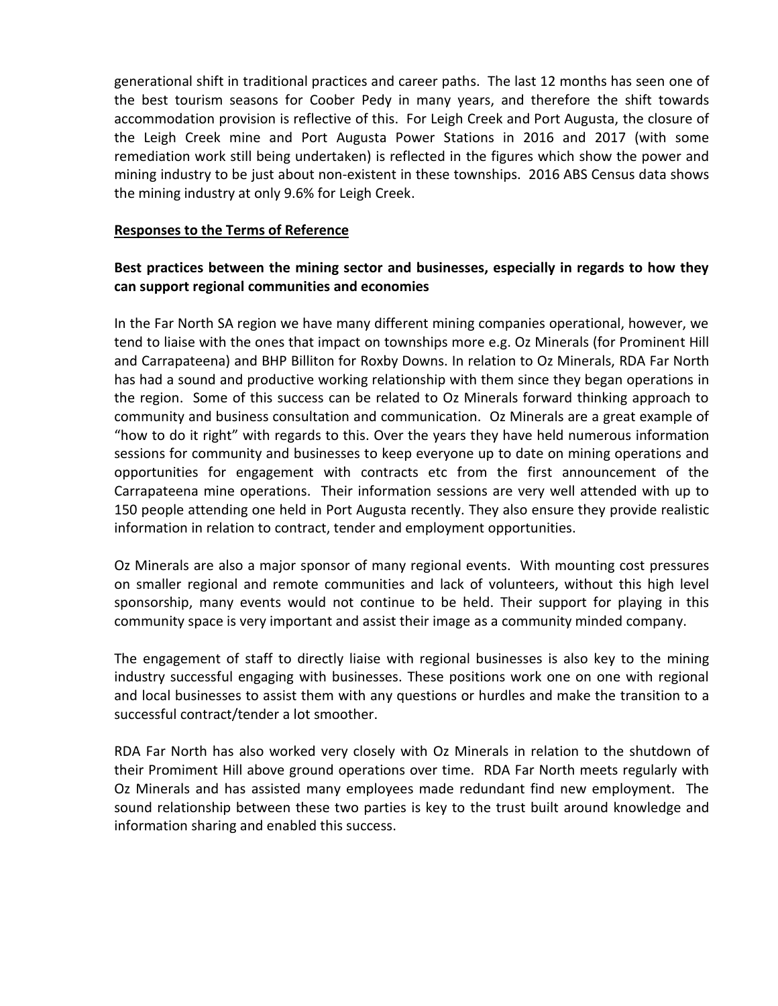generational shift in traditional practices and career paths. The last 12 months has seen one of the best tourism seasons for Coober Pedy in many years, and therefore the shift towards accommodation provision is reflective of this. For Leigh Creek and Port Augusta, the closure of the Leigh Creek mine and Port Augusta Power Stations in 2016 and 2017 (with some remediation work still being undertaken) is reflected in the figures which show the power and mining industry to be just about non-existent in these townships. 2016 ABS Census data shows the mining industry at only 9.6% for Leigh Creek.

### **Responses to the Terms of Reference**

# **Best practices between the mining sector and businesses, especially in regards to how they can support regional communities and economies**

In the Far North SA region we have many different mining companies operational, however, we tend to liaise with the ones that impact on townships more e.g. Oz Minerals (for Prominent Hill and Carrapateena) and BHP Billiton for Roxby Downs. In relation to Oz Minerals, RDA Far North has had a sound and productive working relationship with them since they began operations in the region. Some of this success can be related to Oz Minerals forward thinking approach to community and business consultation and communication. Oz Minerals are a great example of "how to do it right" with regards to this. Over the years they have held numerous information sessions for community and businesses to keep everyone up to date on mining operations and opportunities for engagement with contracts etc from the first announcement of the Carrapateena mine operations. Their information sessions are very well attended with up to 150 people attending one held in Port Augusta recently. They also ensure they provide realistic information in relation to contract, tender and employment opportunities.

Oz Minerals are also a major sponsor of many regional events. With mounting cost pressures on smaller regional and remote communities and lack of volunteers, without this high level sponsorship, many events would not continue to be held. Their support for playing in this community space is very important and assist their image as a community minded company.

The engagement of staff to directly liaise with regional businesses is also key to the mining industry successful engaging with businesses. These positions work one on one with regional and local businesses to assist them with any questions or hurdles and make the transition to a successful contract/tender a lot smoother.

RDA Far North has also worked very closely with Oz Minerals in relation to the shutdown of their Promiment Hill above ground operations over time. RDA Far North meets regularly with Oz Minerals and has assisted many employees made redundant find new employment. The sound relationship between these two parties is key to the trust built around knowledge and information sharing and enabled this success.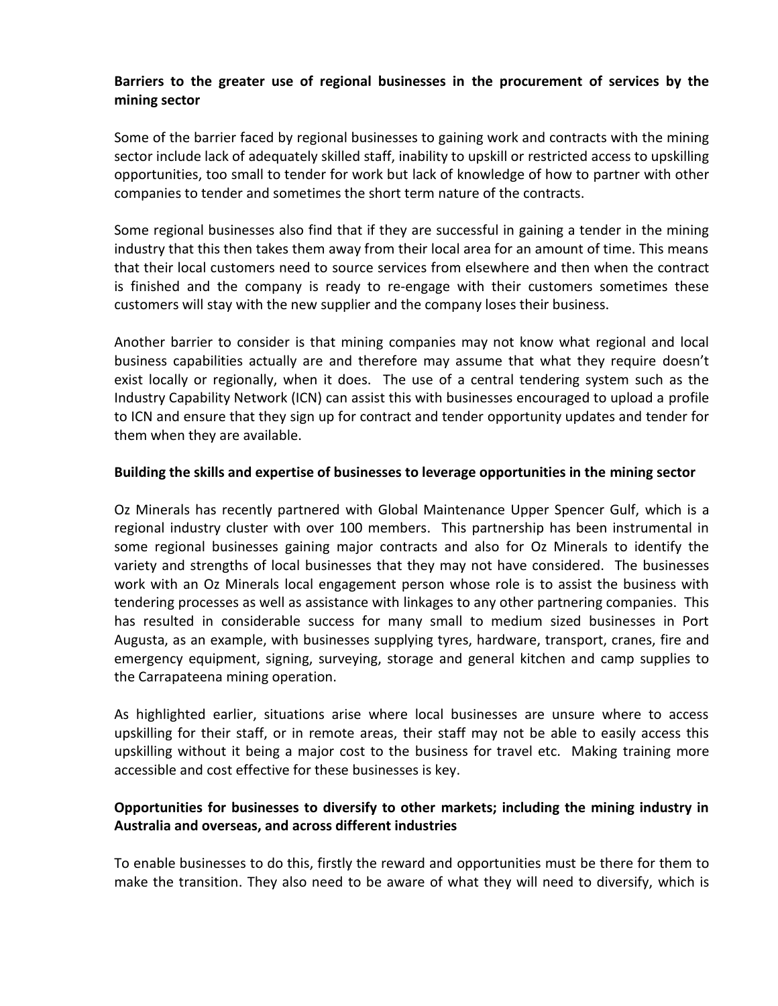# **Barriers to the greater use of regional businesses in the procurement of services by the mining sector**

Some of the barrier faced by regional businesses to gaining work and contracts with the mining sector include lack of adequately skilled staff, inability to upskill or restricted access to upskilling opportunities, too small to tender for work but lack of knowledge of how to partner with other companies to tender and sometimes the short term nature of the contracts.

Some regional businesses also find that if they are successful in gaining a tender in the mining industry that this then takes them away from their local area for an amount of time. This means that their local customers need to source services from elsewhere and then when the contract is finished and the company is ready to re-engage with their customers sometimes these customers will stay with the new supplier and the company loses their business.

Another barrier to consider is that mining companies may not know what regional and local business capabilities actually are and therefore may assume that what they require doesn't exist locally or regionally, when it does. The use of a central tendering system such as the Industry Capability Network (ICN) can assist this with businesses encouraged to upload a profile to ICN and ensure that they sign up for contract and tender opportunity updates and tender for them when they are available.

### **Building the skills and expertise of businesses to leverage opportunities in the mining sector**

Oz Minerals has recently partnered with Global Maintenance Upper Spencer Gulf, which is a regional industry cluster with over 100 members. This partnership has been instrumental in some regional businesses gaining major contracts and also for Oz Minerals to identify the variety and strengths of local businesses that they may not have considered. The businesses work with an Oz Minerals local engagement person whose role is to assist the business with tendering processes as well as assistance with linkages to any other partnering companies. This has resulted in considerable success for many small to medium sized businesses in Port Augusta, as an example, with businesses supplying tyres, hardware, transport, cranes, fire and emergency equipment, signing, surveying, storage and general kitchen and camp supplies to the Carrapateena mining operation.

As highlighted earlier, situations arise where local businesses are unsure where to access upskilling for their staff, or in remote areas, their staff may not be able to easily access this upskilling without it being a major cost to the business for travel etc. Making training more accessible and cost effective for these businesses is key.

# **Opportunities for businesses to diversify to other markets; including the mining industry in Australia and overseas, and across different industries**

To enable businesses to do this, firstly the reward and opportunities must be there for them to make the transition. They also need to be aware of what they will need to diversify, which is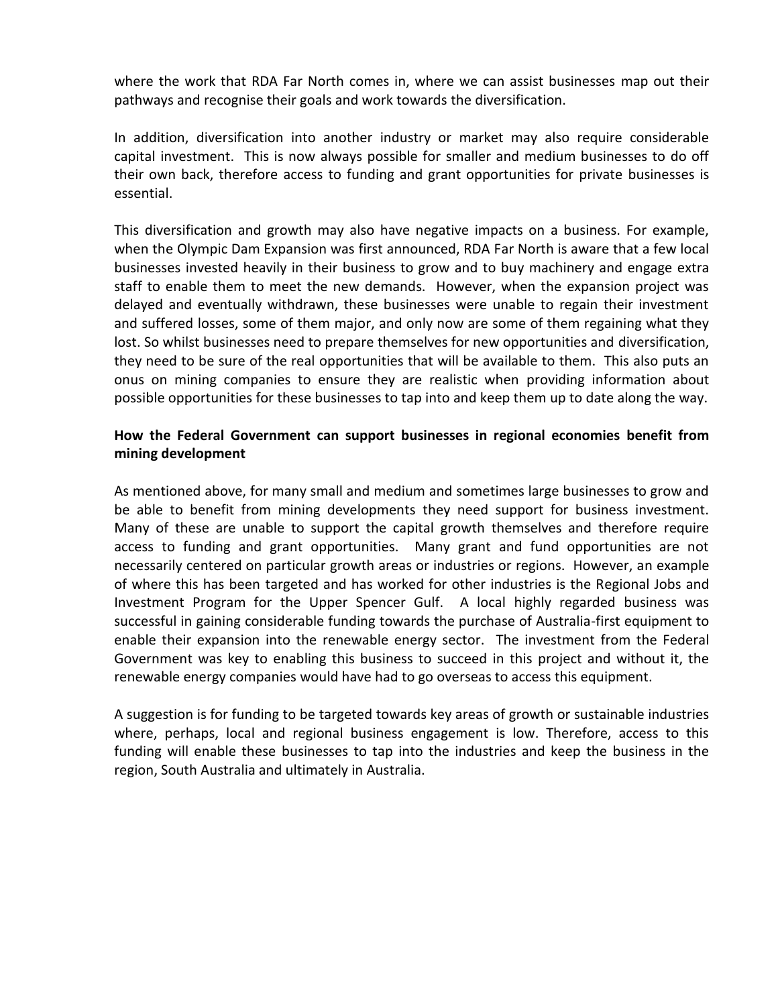where the work that RDA Far North comes in, where we can assist businesses map out their pathways and recognise their goals and work towards the diversification.

In addition, diversification into another industry or market may also require considerable capital investment. This is now always possible for smaller and medium businesses to do off their own back, therefore access to funding and grant opportunities for private businesses is essential.

This diversification and growth may also have negative impacts on a business. For example, when the Olympic Dam Expansion was first announced, RDA Far North is aware that a few local businesses invested heavily in their business to grow and to buy machinery and engage extra staff to enable them to meet the new demands. However, when the expansion project was delayed and eventually withdrawn, these businesses were unable to regain their investment and suffered losses, some of them major, and only now are some of them regaining what they lost. So whilst businesses need to prepare themselves for new opportunities and diversification, they need to be sure of the real opportunities that will be available to them. This also puts an onus on mining companies to ensure they are realistic when providing information about possible opportunities for these businesses to tap into and keep them up to date along the way.

# **How the Federal Government can support businesses in regional economies benefit from mining development**

As mentioned above, for many small and medium and sometimes large businesses to grow and be able to benefit from mining developments they need support for business investment. Many of these are unable to support the capital growth themselves and therefore require access to funding and grant opportunities. Many grant and fund opportunities are not necessarily centered on particular growth areas or industries or regions. However, an example of where this has been targeted and has worked for other industries is the Regional Jobs and Investment Program for the Upper Spencer Gulf. A local highly regarded business was successful in gaining considerable funding towards the purchase of Australia-first equipment to enable their expansion into the renewable energy sector. The investment from the Federal Government was key to enabling this business to succeed in this project and without it, the renewable energy companies would have had to go overseas to access this equipment.

A suggestion is for funding to be targeted towards key areas of growth or sustainable industries where, perhaps, local and regional business engagement is low. Therefore, access to this funding will enable these businesses to tap into the industries and keep the business in the region, South Australia and ultimately in Australia.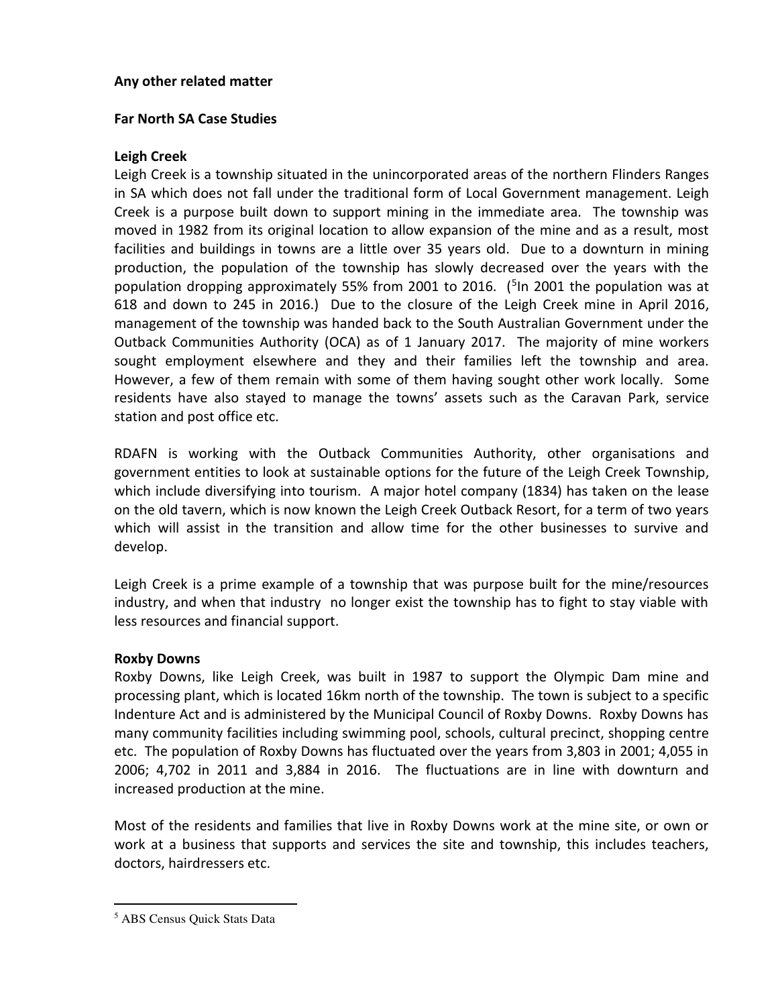#### **Any other related matter**

#### **Far North SA Case Studies**

#### **Leigh Creek**

Leigh Creek is a township situated in the unincorporated areas of the northern Flinders Ranges in SA which does not fall under the traditional form of Local Government management. Leigh Creek is a purpose built down to support mining in the immediate area. The township was moved in 1982 from its original location to allow expansion of the mine and as a result, most facilities and buildings in towns are a little over 35 years old. Due to a downturn in mining production, the population of the township has slowly decreased over the years with the population dropping approximately 55% from 2001 to 2016. (<sup>5</sup>In 2001 the population was at 618 and down to 245 in 2016.) Due to the closure of the Leigh Creek mine in April 2016, management of the township was handed back to the South Australian Government under the Outback Communities Authority (OCA) as of 1 January 2017. The majority of mine workers sought employment elsewhere and they and their families left the township and area. However, a few of them remain with some of them having sought other work locally. Some residents have also stayed to manage the towns' assets such as the Caravan Park, service station and post office etc.

RDAFN is working with the Outback Communities Authority, other organisations and government entities to look at sustainable options for the future of the Leigh Creek Township, which include diversifying into tourism. A major hotel company (1834) has taken on the lease on the old tavern, which is now known the Leigh Creek Outback Resort, for a term of two years which will assist in the transition and allow time for the other businesses to survive and develop.

Leigh Creek is a prime example of a township that was purpose built for the mine/resources industry, and when that industry no longer exist the township has to fight to stay viable with less resources and financial support.

#### **Roxby Downs**

Roxby Downs, like Leigh Creek, was built in 1987 to support the Olympic Dam mine and processing plant, which is located 16km north of the township. The town is subject to a specific Indenture Act and is administered by the Municipal Council of Roxby Downs. Roxby Downs has many community facilities including swimming pool, schools, cultural precinct, shopping centre etc. The population of Roxby Downs has fluctuated over the years from 3,803 in 2001; 4,055 in 2006; 4,702 in 2011 and 3,884 in 2016. The fluctuations are in line with downturn and increased production at the mine.

Most of the residents and families that live in Roxby Downs work at the mine site, or own or work at a business that supports and services the site and township, this includes teachers, doctors, hairdressers etc.

 $\overline{a}$ 

<sup>5</sup> ABS Census Quick Stats Data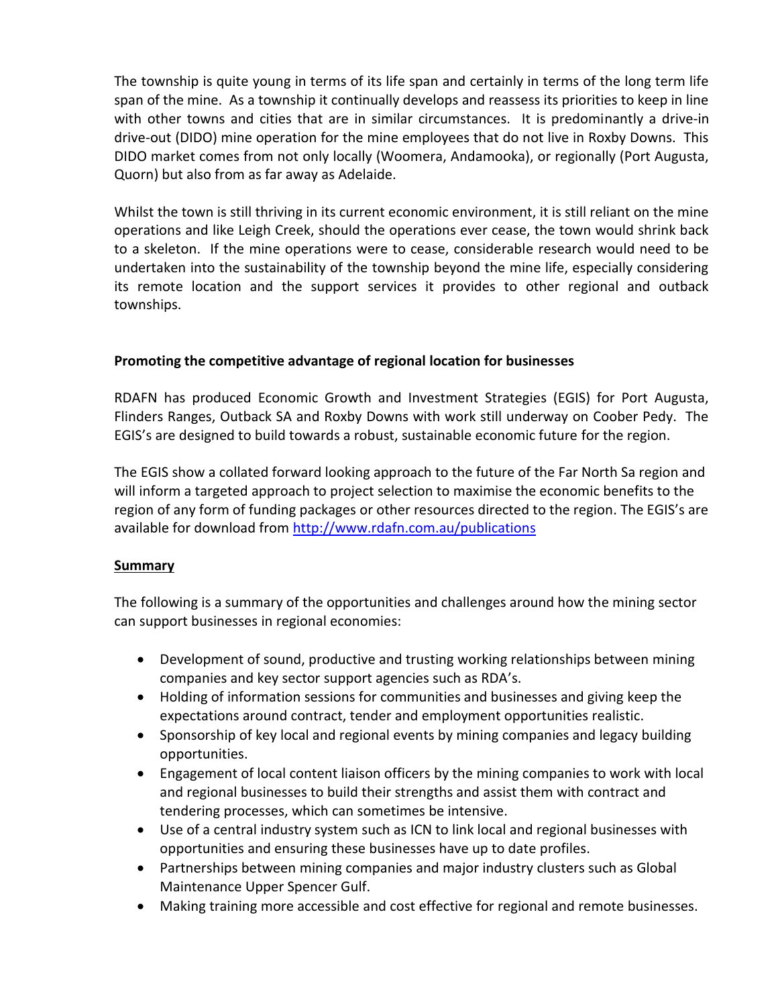The township is quite young in terms of its life span and certainly in terms of the long term life span of the mine. As a township it continually develops and reassess its priorities to keep in line with other towns and cities that are in similar circumstances. It is predominantly a drive-in drive-out (DIDO) mine operation for the mine employees that do not live in Roxby Downs. This DIDO market comes from not only locally (Woomera, Andamooka), or regionally (Port Augusta, Quorn) but also from as far away as Adelaide.

Whilst the town is still thriving in its current economic environment, it is still reliant on the mine operations and like Leigh Creek, should the operations ever cease, the town would shrink back to a skeleton. If the mine operations were to cease, considerable research would need to be undertaken into the sustainability of the township beyond the mine life, especially considering its remote location and the support services it provides to other regional and outback townships.

## **Promoting the competitive advantage of regional location for businesses**

RDAFN has produced Economic Growth and Investment Strategies (EGIS) for Port Augusta, Flinders Ranges, Outback SA and Roxby Downs with work still underway on Coober Pedy. The EGIS's are designed to build towards a robust, sustainable economic future for the region.

The EGIS show a collated forward looking approach to the future of the Far North Sa region and will inform a targeted approach to project selection to maximise the economic benefits to the region of any form of funding packages or other resources directed to the region. The EGIS's are available for download from<http://www.rdafn.com.au/publications>

# **Summary**

The following is a summary of the opportunities and challenges around how the mining sector can support businesses in regional economies:

- Development of sound, productive and trusting working relationships between mining companies and key sector support agencies such as RDA's.
- Holding of information sessions for communities and businesses and giving keep the expectations around contract, tender and employment opportunities realistic.
- Sponsorship of key local and regional events by mining companies and legacy building opportunities.
- Engagement of local content liaison officers by the mining companies to work with local and regional businesses to build their strengths and assist them with contract and tendering processes, which can sometimes be intensive.
- Use of a central industry system such as ICN to link local and regional businesses with opportunities and ensuring these businesses have up to date profiles.
- Partnerships between mining companies and major industry clusters such as Global Maintenance Upper Spencer Gulf.
- Making training more accessible and cost effective for regional and remote businesses.